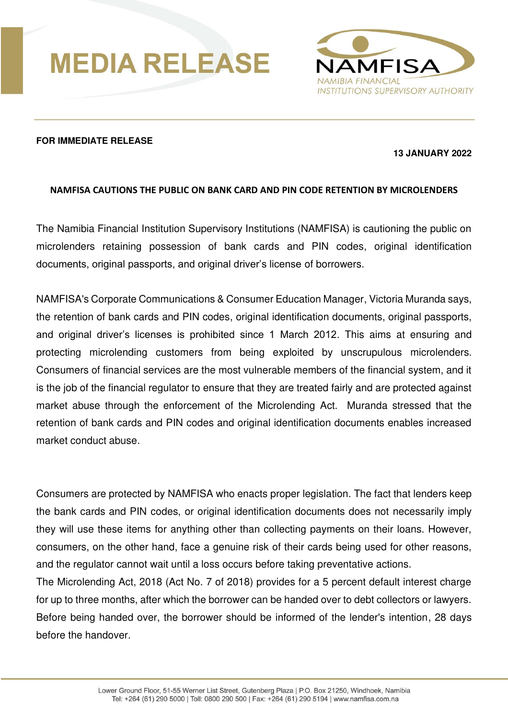



## **FOR IMMEDIATE RELEASE**

## **13 JANUARY 2022**

## **NAMFISA CAUTIONS THE PUBLIC ON BANK CARD AND PIN CODE RETENTION BY MICROLENDERS**

The Namibia Financial Institution Supervisory Institutions (NAMFISA) is cautioning the public on microlenders retaining possession of bank cards and PIN codes, original identification documents, original passports, and original driver's license of borrowers.

NAMFISA's Corporate Communications & Consumer Education Manager, Victoria Muranda says, the retention of bank cards and PIN codes, original identification documents, original passports, and original driver's licenses is prohibited since 1 March 2012. This aims at ensuring and protecting microlending customers from being exploited by unscrupulous microlenders. Consumers of financial services are the most vulnerable members of the financial system, and it is the job of the financial regulator to ensure that they are treated fairly and are protected against market abuse through the enforcement of the Microlending Act. Muranda stressed that the retention of bank cards and PIN codes and original identification documents enables increased market conduct abuse.

Consumers are protected by NAMFISA who enacts proper legislation. The fact that lenders keep the bank cards and PIN codes, or original identification documents does not necessarily imply they will use these items for anything other than collecting payments on their loans. However, consumers, on the other hand, face a genuine risk of their cards being used for other reasons, and the regulator cannot wait until a loss occurs before taking preventative actions.

The Microlending Act, 2018 (Act No. 7 of 2018) provides for a 5 percent default interest charge for up to three months, after which the borrower can be handed over to debt collectors or lawyers. Before being handed over, the borrower should be informed of the lender's intention, 28 days before the handover.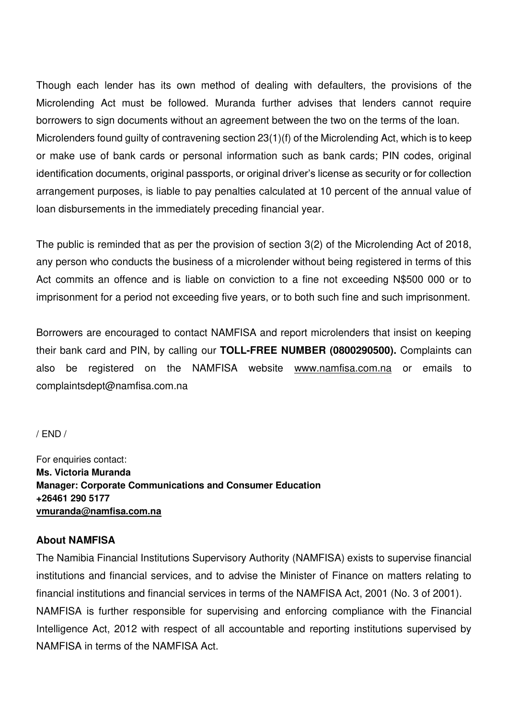Though each lender has its own method of dealing with defaulters, the provisions of the Microlending Act must be followed. Muranda further advises that lenders cannot require borrowers to sign documents without an agreement between the two on the terms of the loan. Microlenders found guilty of contravening section 23(1)(f) of the Microlending Act, which is to keep or make use of bank cards or personal information such as bank cards; PIN codes, original identification documents, original passports, or original driver's license as security or for collection arrangement purposes, is liable to pay penalties calculated at 10 percent of the annual value of loan disbursements in the immediately preceding financial year.

The public is reminded that as per the provision of section 3(2) of the Microlending Act of 2018, any person who conducts the business of a microlender without being registered in terms of this Act commits an offence and is liable on conviction to a fine not exceeding N\$500 000 or to imprisonment for a period not exceeding five years, or to both such fine and such imprisonment.

Borrowers are encouraged to contact NAMFISA and report microlenders that insist on keeping their bank card and PIN, by calling our **TOLL-FREE NUMBER (0800290500).** Complaints can also be registered on the NAMFISA website www.namfisa.com.na or emails to complaintsdept@namfisa.com.na

/ END /

For enquiries contact: **Ms. Victoria Muranda Manager: Corporate Communications and Consumer Education +26461 290 5177 vmuranda@namfisa.com.na** 

## **About NAMFISA**

The Namibia Financial Institutions Supervisory Authority (NAMFISA) exists to supervise financial institutions and financial services, and to advise the Minister of Finance on matters relating to financial institutions and financial services in terms of the NAMFISA Act, 2001 (No. 3 of 2001). NAMFISA is further responsible for supervising and enforcing compliance with the Financial Intelligence Act, 2012 with respect of all accountable and reporting institutions supervised by NAMFISA in terms of the NAMFISA Act.